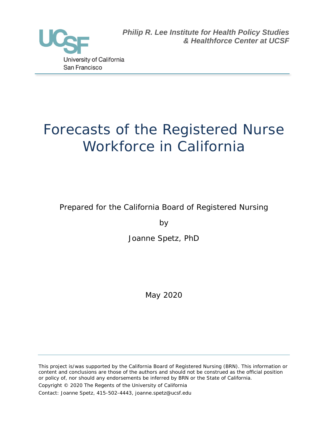

*Philip R. Lee Institute for Health Policy Studies & Healthforce Center at UCSF*

# Forecasts of the Registered Nurse Workforce in California

Prepared for the California Board of Registered Nursing

by

Joanne Spetz, PhD

May 2020

This project is/was supported by the California Board of Registered Nursing (BRN). This information or content and conclusions are those of the authors and should not be construed as the official position or policy of, nor should any endorsements be inferred by BRN or the State of California. Copyright © 2020 The Regents of the University of California Contact: Joanne Spetz, 415-502-4443, joanne.spetz@ucsf.edu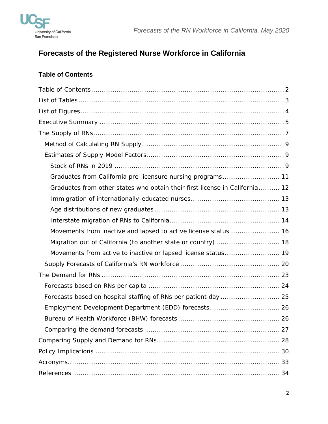

# **Forecasts of the Registered Nurse Workforce in California**

# <span id="page-1-0"></span>**Table of Contents**

| Graduates from California pre-licensure nursing programs 11                 |
|-----------------------------------------------------------------------------|
| Graduates from other states who obtain their first license in California 12 |
|                                                                             |
|                                                                             |
|                                                                             |
| Movements from inactive and lapsed to active license status  16             |
| Migration out of California (to another state or country)  18               |
| Movements from active to inactive or lapsed license status 19               |
|                                                                             |
|                                                                             |
|                                                                             |
| Forecasts based on hospital staffing of RNs per patient day  25             |
|                                                                             |
|                                                                             |
|                                                                             |
|                                                                             |
|                                                                             |
|                                                                             |
|                                                                             |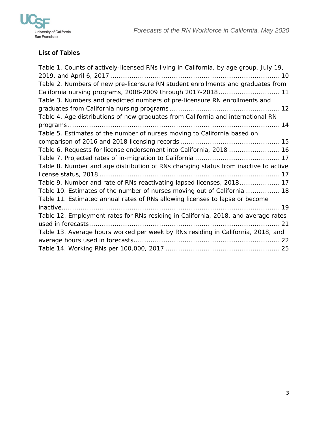



# <span id="page-2-0"></span>**List of Tables**

| Table 1. Counts of actively-licensed RNs living in California, by age group, July 19, |
|---------------------------------------------------------------------------------------|
|                                                                                       |
| Table 2. Numbers of new pre-licensure RN student enrollments and graduates from       |
| California nursing programs, 2008-2009 through 2017-2018 11                           |
| Table 3. Numbers and predicted numbers of pre-licensure RN enrollments and            |
|                                                                                       |
| Table 4. Age distributions of new graduates from California and international RN      |
|                                                                                       |
| Table 5. Estimates of the number of nurses moving to California based on              |
|                                                                                       |
| Table 6. Requests for license endorsement into California, 2018  16                   |
|                                                                                       |
| Table 8. Number and age distribution of RNs changing status from inactive to active   |
|                                                                                       |
| Table 9. Number and rate of RNs reactivating lapsed licenses, 2018 17                 |
| Table 10. Estimates of the number of nurses moving out of California  18              |
| Table 11. Estimated annual rates of RNs allowing licenses to lapse or become          |
|                                                                                       |
| Table 12. Employment rates for RNs residing in California, 2018, and average rates    |
|                                                                                       |
| Table 13. Average hours worked per week by RNs residing in California, 2018, and      |
|                                                                                       |
|                                                                                       |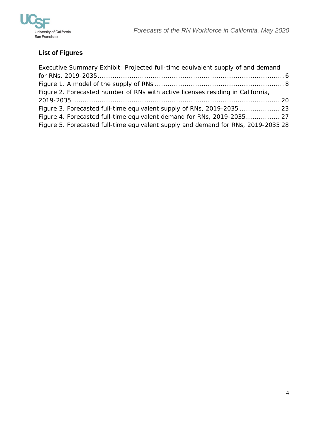

# <span id="page-3-0"></span>**List of Figures**

| Executive Summary Exhibit: Projected full-time equivalent supply of and demand  |  |
|---------------------------------------------------------------------------------|--|
|                                                                                 |  |
|                                                                                 |  |
| Figure 2. Forecasted number of RNs with active licenses residing in California, |  |
|                                                                                 |  |
|                                                                                 |  |
|                                                                                 |  |
| Figure 4. Forecasted full-time equivalent demand for RNs, 2019-2035 27          |  |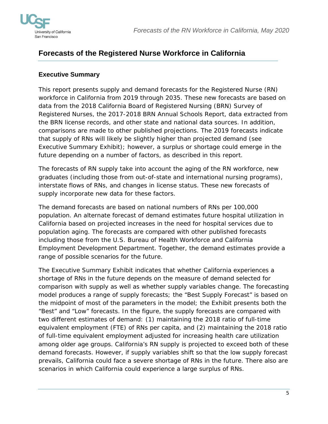

# **Forecasts of the Registered Nurse Workforce in California**

# <span id="page-4-0"></span>**Executive Summary**

This report presents supply and demand forecasts for the Registered Nurse (RN) workforce in California from 2019 through 2035. These new forecasts are based on data from the 2018 California Board of Registered Nursing (BRN) Survey of Registered Nurses, the 2017-2018 BRN Annual Schools Report, data extracted from the BRN license records, and other state and national data sources. In addition, comparisons are made to other published projections. The 2019 forecasts indicate that supply of RNs will likely be slightly higher than projected demand (see Executive Summary Exhibit); however, a surplus or shortage could emerge in the future depending on a number of factors, as described in this report.

The forecasts of RN supply take into account the aging of the RN workforce, new graduates (including those from out-of-state and international nursing programs), interstate flows of RNs, and changes in license status. These new forecasts of supply incorporate new data for these factors.

The demand forecasts are based on national numbers of RNs per 100,000 population. An alternate forecast of demand estimates future hospital utilization in California based on projected increases in the need for hospital services due to population aging. The forecasts are compared with other published forecasts including those from the U.S. Bureau of Health Workforce and California Employment Development Department. Together, the demand estimates provide a range of possible scenarios for the future.

The Executive Summary Exhibit indicates that whether California experiences a shortage of RNs in the future depends on the measure of demand selected for comparison with supply as well as whether supply variables change. The forecasting model produces a range of supply forecasts; the "Best Supply Forecast" is based on the midpoint of most of the parameters in the model; the Exhibit presents both the "Best" and "Low" forecasts. In the figure, the supply forecasts are compared with two different estimates of demand: (1) maintaining the 2018 ratio of full-time equivalent employment (FTE) of RNs per capita, and (2) maintaining the 2018 ratio of full-time equivalent employment adjusted for increasing health care utilization among older age groups. California's RN supply is projected to exceed both of these demand forecasts. However, if supply variables shift so that the low supply forecast prevails, California could face a severe shortage of RNs in the future. There also are scenarios in which California could experience a large surplus of RNs.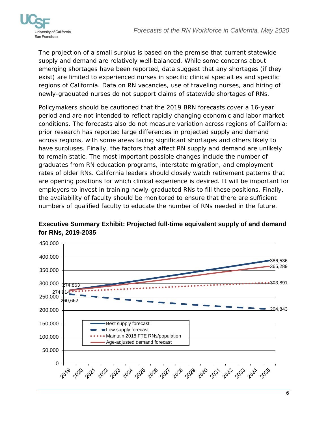

The projection of a small surplus is based on the premise that current statewide supply and demand are relatively well-balanced. While some concerns about emerging shortages have been reported, data suggest that any shortages (if they exist) are limited to experienced nurses in specific clinical specialties and specific regions of California. Data on RN vacancies, use of traveling nurses, and hiring of newly-graduated nurses do not support claims of statewide shortages of RNs.

Policymakers should be cautioned that the 2019 BRN forecasts cover a 16-year period and are not intended to reflect rapidly changing economic and labor market conditions. The forecasts also do not measure variation across regions of California; prior research has reported large differences in projected supply and demand across regions, with some areas facing significant shortages and others likely to have surpluses. Finally, the factors that affect RN supply and demand are unlikely to remain static. The most important possible changes include the number of graduates from RN education programs, interstate migration, and employment rates of older RNs. California leaders should closely watch retirement patterns that are opening positions for which clinical experience is desired. It will be important for employers to invest in training newly-graduated RNs to fill these positions. Finally, the availability of faculty should be monitored to ensure that there are sufficient numbers of qualified faculty to educate the number of RNs needed in the future.



# <span id="page-5-0"></span>**Executive Summary Exhibit: Projected full-time equivalent supply of and demand for RNs, 2019-2035**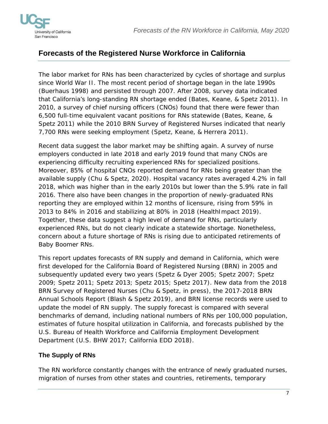

# **Forecasts of the Registered Nurse Workforce in California**

The labor market for RNs has been characterized by cycles of shortage and surplus since World War II. The most recent period of shortage began in the late 1990s (Buerhaus 1998) and persisted through 2007. After 2008, survey data indicated that California's long-standing RN shortage ended (Bates, Keane, & Spetz 2011). In 2010, a survey of chief nursing officers (CNOs) found that there were fewer than 6,500 full-time equivalent vacant positions for RNs statewide (Bates, Keane, & Spetz 2011) while the 2010 BRN Survey of Registered Nurses indicated that nearly 7,700 RNs were seeking employment (Spetz, Keane, & Herrera 2011).

Recent data suggest the labor market may be shifting again. A survey of nurse employers conducted in late 2018 and early 2019 found that many CNOs are experiencing difficulty recruiting experienced RNs for specialized positions. Moreover, 85% of hospital CNOs reported demand for RNs being greater than the available supply (Chu & Spetz, 2020). Hospital vacancy rates averaged 4.2% in fall 2018, which was higher than in the early 2010s but lower than the 5.9% rate in fall 2016. There also have been changes in the proportion of newly-graduated RNs reporting they are employed within 12 months of licensure, rising from 59% in 2013 to 84% in 2016 and stabilizing at 80% in 2018 (HealthImpact 2019). Together, these data suggest a high level of demand for RNs, particularly experienced RNs, but do not clearly indicate a statewide shortage. Nonetheless, concern about a future shortage of RNs is rising due to anticipated retirements of Baby Boomer RNs.

This report updates forecasts of RN supply and demand in California, which were first developed for the California Board of Registered Nursing (BRN) in 2005 and subsequently updated every two years (Spetz & Dyer 2005; Spetz 2007; Spetz 2009; Spetz 2011; Spetz 2013; Spetz 2015; Spetz 2017). New data from the 2018 BRN Survey of Registered Nurses (Chu & Spetz, in press), the 2017-2018 BRN Annual Schools Report (Blash & Spetz 2019), and BRN license records were used to update the model of RN supply. The supply forecast is compared with several benchmarks of demand, including national numbers of RNs per 100,000 population, estimates of future hospital utilization in California, and forecasts published by the U.S. Bureau of Health Workforce and California Employment Development Department (U.S. BHW 2017; California EDD 2018).

# <span id="page-6-0"></span>**The Supply of RNs**

The RN workforce constantly changes with the entrance of newly graduated nurses, migration of nurses from other states and countries, retirements, temporary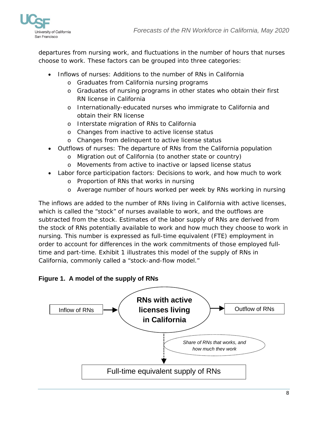

departures from nursing work, and fluctuations in the number of hours that nurses choose to work. These factors can be grouped into three categories:

- Inflows of nurses: Additions to the number of RNs in California
	- o Graduates from California nursing programs
	- o Graduates of nursing programs in other states who obtain their first RN license in California
	- o Internationally-educated nurses who immigrate to California and obtain their RN license
	- o Interstate migration of RNs to California
	- o Changes from inactive to active license status
	- o Changes from delinquent to active license status
- Outflows of nurses: The departure of RNs from the California population
	- o Migration out of California (to another state or country)
	- o Movements from active to inactive or lapsed license status
- Labor force participation factors: Decisions to work, and how much to work
	- o Proportion of RNs that works in nursing
	- o Average number of hours worked per week by RNs working in nursing

The inflows are added to the number of RNs living in California with active licenses, which is called the "stock" of nurses available to work, and the outflows are subtracted from the stock. Estimates of the labor supply of RNs are derived from the stock of RNs potentially available to work and how much they choose to work in nursing. This number is expressed as full-time equivalent (FTE) employment in order to account for differences in the work commitments of those employed fulltime and part-time. Exhibit 1 illustrates this model of the supply of RNs in California, commonly called a "stock-and-flow model."

#### <span id="page-7-0"></span>**Figure 1. A model of the supply of RNs**

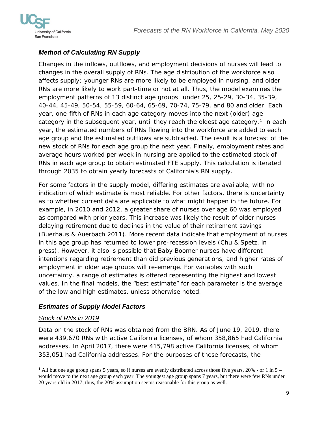



# <span id="page-8-0"></span>*Method of Calculating RN Supply*

Changes in the inflows, outflows, and employment decisions of nurses will lead to changes in the overall supply of RNs. The age distribution of the workforce also affects supply; younger RNs are more likely to be employed in nursing, and older RNs are more likely to work part-time or not at all. Thus, the model examines the employment patterns of 13 distinct age groups: under 25, 25-29, 30-34, 35-39, 40-44, 45-49, 50-54, 55-59, 60-64, 65-69, 70-74, 75-79, and 80 and older. Each year, one-fifth of RNs in each age category moves into the next (older) age category in the subsequent year, until they reach the oldest age category.<sup>[1](#page-8-3)</sup> In each year, the estimated numbers of RNs flowing into the workforce are added to each age group and the estimated outflows are subtracted. The result is a forecast of the new stock of RNs for each age group the next year. Finally, employment rates and average hours worked per week in nursing are applied to the estimated stock of RNs in each age group to obtain estimated FTE supply. This calculation is iterated through 2035 to obtain yearly forecasts of California's RN supply.

For some factors in the supply model, differing estimates are available, with no indication of which estimate is most reliable. For other factors, there is uncertainty as to whether current data are applicable to what might happen in the future. For example, in 2010 and 2012, a greater share of nurses over age 60 was employed as compared with prior years. This increase was likely the result of older nurses delaying retirement due to declines in the value of their retirement savings (Buerhaus & Auerbach 2011). More recent data indicate that employment of nurses in this age group has returned to lower pre-recession levels (Chu & Spetz, in press). However, it also is possible that Baby Boomer nurses have different intentions regarding retirement than did previous generations, and higher rates of employment in older age groups will re-emerge. For variables with such uncertainty, a range of estimates is offered representing the highest and lowest values. In the final models, the "best estimate" for each parameter is the average of the low and high estimates, unless otherwise noted.

# <span id="page-8-1"></span>*Estimates of Supply Model Factors*

#### <span id="page-8-2"></span>*Stock of RNs in 2019*

Data on the stock of RNs was obtained from the BRN. As of June 19, 2019, there were 439,670 RNs with active California licenses, of whom 358,865 had California addresses. In April 2017, there were 415,798 active California licenses, of whom 353,051 had California addresses. For the purposes of these forecasts, the

<span id="page-8-3"></span>l  $1$  All but one age group spans 5 years, so if nurses are evenly distributed across those five years, 20% - or 1 in  $5$ would move to the next age group each year. The youngest age group spans 7 years, but there were few RNs under 20 years old in 2017; thus, the 20% assumption seems reasonable for this group as well.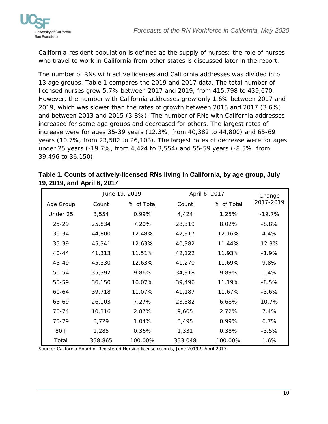

California-resident population is defined as the supply of nurses; the role of nurses who travel to work in California from other states is discussed later in the report.

The number of RNs with active licenses and California addresses was divided into 13 age groups. Table 1 compares the 2019 and 2017 data. The total number of licensed nurses grew 5.7% between 2017 and 2019, from 415,798 to 439,670. However, the number with California addresses grew only 1.6% between 2017 and 2019, which was slower than the rates of growth between 2015 and 2017 (3.6%) and between 2013 and 2015 (3.8%). The number of RNs with California addresses increased for some age groups and decreased for others. The largest rates of increase were for ages 35-39 years (12.3%, from 40,382 to 44,800) and 65-69 years (10.7%, from 23,582 to 26,103). The largest rates of decrease were for ages under 25 years (-19.7%, from 4,424 to 3,554) and 55-59 years (-8.5%, from 39,496 to 36,150).

|           | June 19, 2019 |            |         | April 6, 2017 |           |  |
|-----------|---------------|------------|---------|---------------|-----------|--|
| Age Group | Count         | % of Total | Count   | % of Total    | 2017-2019 |  |
| Under 25  | 3,554         | 0.99%      | 4,424   | 1.25%         | $-19.7%$  |  |
| $25 - 29$ | 25,834        | 7.20%      | 28,319  | 8.02%         | $-8.8\%$  |  |
| $30 - 34$ | 44,800        | 12.48%     | 42,917  | 12.16%        | 4.4%      |  |
| 35-39     | 45,341        | 12.63%     | 40,382  | 11.44%        | 12.3%     |  |
| $40 - 44$ | 41,313        | 11.51%     | 42,122  | 11.93%        | $-1.9%$   |  |
| 45-49     | 45,330        | 12.63%     | 41,270  | 11.69%        | 9.8%      |  |
| 50-54     | 35,392        | 9.86%      | 34,918  | 9.89%         | 1.4%      |  |
| 55-59     | 36,150        | 10.07%     | 39,496  | 11.19%        | $-8.5%$   |  |
| 60-64     | 39,718        | 11.07%     | 41,187  | 11.67%        | $-3.6%$   |  |
| 65-69     | 26,103        | 7.27%      | 23,582  | 6.68%         | 10.7%     |  |
| $70 - 74$ | 10,316        | 2.87%      | 9,605   | 2.72%         | 7.4%      |  |
| 75-79     | 3,729         | 1.04%      | 3,495   | 0.99%         | 6.7%      |  |
| $80+$     | 1,285         | 0.36%      | 1,331   | 0.38%         | $-3.5%$   |  |
| Total     | 358,865       | 100.00%    | 353,048 | 100.00%       | 1.6%      |  |

<span id="page-9-0"></span>

| Table 1. Counts of actively-licensed RNs living in California, by age group, July |  |
|-----------------------------------------------------------------------------------|--|
| 19, 2019, and April 6, 2017                                                       |  |

Source: California Board of Registered Nursing license records, June 2019 & April 2017.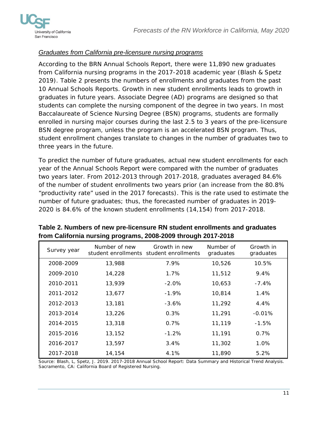

#### <span id="page-10-0"></span>*Graduates from California pre-licensure nursing programs*

According to the BRN Annual Schools Report, there were 11,890 new graduates from California nursing programs in the 2017-2018 academic year (Blash & Spetz 2019). Table 2 presents the numbers of enrollments and graduates from the past 10 Annual Schools Reports. Growth in new student enrollments leads to growth in graduates in future years. Associate Degree (AD) programs are designed so that students can complete the nursing component of the degree in two years. In most Baccalaureate of Science Nursing Degree (BSN) programs, students are formally enrolled in nursing major courses during the last 2.5 to 3 years of the pre-licensure BSN degree program, unless the program is an accelerated BSN program. Thus, student enrollment changes translate to changes in the number of graduates two to three years in the future.

To predict the number of future graduates, actual new student enrollments for each year of the Annual Schools Report were compared with the number of graduates two years later. From 2012-2013 through 2017-2018, graduates averaged 84.6% of the number of student enrollments two years prior (an increase from the 80.8% "productivity rate" used in the 2017 forecasts). This is the rate used to estimate the number of future graduates; thus, the forecasted number of graduates in 2019- 2020 is 84.6% of the known student enrollments (14,154) from 2017-2018.

| Survey year | Number of new | Growth in new<br>student enrollments student enrollments | Number of<br>graduates | Growth in<br>graduates |
|-------------|---------------|----------------------------------------------------------|------------------------|------------------------|
| 2008-2009   | 13,988        | 7.9%                                                     | 10,526                 | 10.5%                  |
| 2009-2010   | 14,228        | $1.7\%$                                                  | 11,512                 | $9.4\%$                |
| 2010-2011   | 13,939        | $-2.0%$                                                  | 10,653                 | $-7.4%$                |
| 2011-2012   | 13,677        | $-1.9%$                                                  | 10,814                 | 1.4%                   |
| 2012-2013   | 13,181        | $-3.6%$                                                  | 11,292                 | 4.4%                   |
| 2013-2014   | 13,226        | 0.3%                                                     | 11,291                 | $-0.01\%$              |
| 2014-2015   | 13,318        | 0.7%                                                     | 11,119                 | $-1.5%$                |
| 2015-2016   | 13,152        | $-1.2%$                                                  | 11,191                 | $0.7\%$                |
| 2016-2017   | 13,597        | 3.4%                                                     | 11,302                 | 1.0%                   |
| 2017-2018   | 14,154        | 4.1%                                                     | 11,890                 | 5.2%                   |

# <span id="page-10-1"></span>**Table 2. Numbers of new pre-licensure RN student enrollments and graduates from California nursing programs, 2008-2009 through 2017-2018**

Source: Blash, L, Spetz, J. 2019. 2017-2018 Annual School Report: Data Summary and Historical Trend Analysis. Sacramento, CA: California Board of Registered Nursing.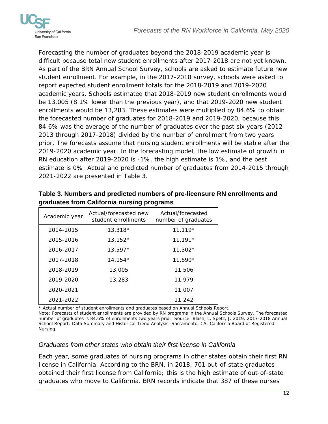

Forecasting the number of graduates beyond the 2018-2019 academic year is difficult because total new student enrollments after 2017-2018 are not yet known. As part of the BRN Annual School Survey, schools are asked to estimate future new student enrollment. For example, in the 2017-2018 survey, schools were asked to report expected student enrollment totals for the 2018-2019 and 2019-2020 academic years. Schools estimated that 2018-2019 new student enrollments would be 13,005 (8.1% lower than the previous year), and that 2019-2020 new student enrollments would be 13,283. These estimates were multiplied by 84.6% to obtain the forecasted number of graduates for 2018-2019 and 2019-2020, because this 84.6% was the average of the number of graduates over the past six years (2012- 2013 through 2017-2018) divided by the number of enrollment from two years prior. The forecasts assume that nursing student enrollments will be stable after the 2019-2020 academic year. In the forecasting model, the low estimate of growth in RN education after 2019-2020 is -1%, the high estimate is 1%, and the best estimate is 0%. Actual and predicted number of graduates from 2014-2015 through 2021-2022 are presented in Table 3.

| Academic year | Actual/forecasted new<br>student enrollments | Actual/forecasted<br>number of graduates |
|---------------|----------------------------------------------|------------------------------------------|
| 2014-2015     | 13,318*                                      | $11,119*$                                |
| 2015-2016     | $13,152*$                                    | $11,191*$                                |
| 2016-2017     | $13,597*$                                    | $11,302*$                                |
| 2017-2018     | $14,154*$                                    | 11,890*                                  |
| 2018-2019     | 13,005                                       | 11,506                                   |
| 2019-2020     | 13,283                                       | 11,979                                   |
| 2020-2021     |                                              | 11,007                                   |
| 2021-2022     |                                              | 11,242                                   |

<span id="page-11-1"></span>**Table 3. Numbers and predicted numbers of pre-licensure RN enrollments and graduates from California nursing programs**

\* Actual number of student enrollments and graduates based on Annual Schools Report. Note: Forecasts of student enrollments are provided by RN programs in the Annual Schools Survey. The forecasted number of graduates is 84.6% of enrollments two years prior. Source: Blash, L, Spetz, J. 2019. 2017-2018 Annual School Report: Data Summary and Historical Trend Analysis. Sacramento, CA: California Board of Registered Nursing.

#### <span id="page-11-0"></span>*Graduates from other states who obtain their first license in California*

Each year, some graduates of nursing programs in other states obtain their first RN license in California. According to the BRN, in 2018, 701 out-of-state graduates obtained their first license from California; this is the high estimate of out-of-state graduates who move to California. BRN records indicate that 387 of these nurses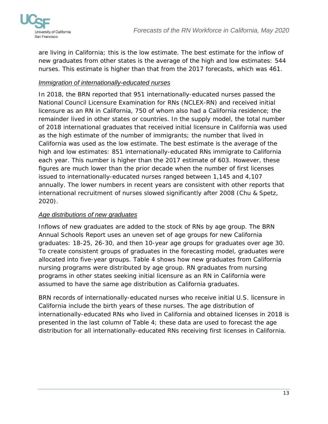

are living in California; this is the low estimate. The best estimate for the inflow of new graduates from other states is the average of the high and low estimates: 544 nurses. This estimate is higher than that from the 2017 forecasts, which was 461.

# <span id="page-12-0"></span>*Immigration of internationally-educated nurses*

In 2018, the BRN reported that 951 internationally-educated nurses passed the National Council Licensure Examination for RNs (NCLEX-RN) and received initial licensure as an RN in California, 750 of whom also had a California residence; the remainder lived in other states or countries. In the supply model, the total number of 2018 international graduates that received initial licensure in California was used as the high estimate of the number of immigrants; the number that lived in California was used as the low estimate. The best estimate is the average of the high and low estimates: 851 internationally-educated RNs immigrate to California each year. This number is higher than the 2017 estimate of 603. However, these figures are much lower than the prior decade when the number of first licenses issued to internationally-educated nurses ranged between 1,145 and 4,107 annually. The lower numbers in recent years are consistent with other reports that international recruitment of nurses slowed significantly after 2008 (Chu & Spetz, 2020).

## <span id="page-12-1"></span>*Age distributions of new graduates*

Inflows of new graduates are added to the stock of RNs by age group. The BRN Annual Schools Report uses an uneven set of age groups for new California graduates: 18-25, 26-30, and then 10-year age groups for graduates over age 30. To create consistent groups of graduates in the forecasting model, graduates were allocated into five-year groups. Table 4 shows how new graduates from California nursing programs were distributed by age group. RN graduates from nursing programs in other states seeking initial licensure as an RN in California were assumed to have the same age distribution as California graduates.

BRN records of internationally-educated nurses who receive initial U.S. licensure in California include the birth years of these nurses. The age distribution of internationally-educated RNs who lived in California and obtained licenses in 2018 is presented in the last column of Table 4; these data are used to forecast the age distribution for all internationally-educated RNs receiving first licenses in California.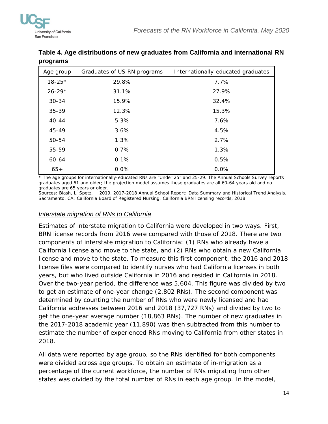

| ີ          |                             |                                    |
|------------|-----------------------------|------------------------------------|
| Age group  | Graduates of US RN programs | Internationally-educated graduates |
| $18 - 25*$ | 29.8%                       | 7.7%                               |
| $26 - 29*$ | 31.1%                       | 27.9%                              |
| $30 - 34$  | 15.9%                       | 32.4%                              |
| 35-39      | 12.3%                       | 15.3%                              |
| $40 - 44$  | 5.3%                        | 7.6%                               |
| 45-49      | 3.6%                        | 4.5%                               |
| 50-54      | 1.3%                        | 2.7%                               |
| 55-59      | 0.7%                        | 1.3%                               |
| 60-64      | 0.1%                        | 0.5%                               |
| $65+$      | 0.0%                        | 0.0%                               |

# <span id="page-13-1"></span>**Table 4. Age distributions of new graduates from California and international RN programs**

\* The age groups for internationally-educated RNs are "Under 25" and 25-29. The Annual Schools Survey reports graduates aged 61 and older; the projection model assumes these graduates are all 60-64 years old and no graduates are 65 years or older.

Sources: Blash, L, Spetz, J. 2019. 2017-2018 Annual School Report: Data Summary and Historical Trend Analysis. Sacramento, CA: California Board of Registered Nursing; California BRN licensing records, 2018.

#### <span id="page-13-0"></span>*Interstate migration of RNs to California*

Estimates of interstate migration to California were developed in two ways. First, BRN license records from 2016 were compared with those of 2018. There are two components of interstate migration to California: (1) RNs who already have a California license and move to the state, and (2) RNs who obtain a new California license and move to the state. To measure this first component, the 2016 and 2018 license files were compared to identify nurses who had California licenses in both years, but who lived outside California in 2016 and resided in California in 2018. Over the two-year period, the difference was 5,604. This figure was divided by two to get an estimate of one-year change (2,802 RNs). The second component was determined by counting the number of RNs who were newly licensed and had California addresses between 2016 and 2018 (37,727 RNs) and divided by two to get the one-year average number (18,863 RNs). The number of new graduates in the 2017-2018 academic year (11,890) was then subtracted from this number to estimate the number of experienced RNs moving to California from other states in 2018.

All data were reported by age group, so the RNs identified for both components were divided across age groups. To obtain an estimate of in-migration as a percentage of the current workforce, the number of RNs migrating from other states was divided by the total number of RNs in each age group. In the model,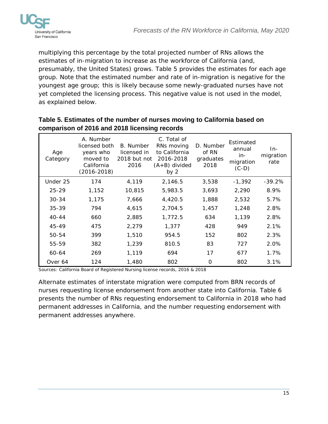

multiplying this percentage by the total projected number of RNs allows the estimates of in-migration to increase as the workforce of California (and, presumably, the United States) grows. Table 5 provides the estimates for each age group. Note that the estimated number and rate of in-migration is negative for the youngest age group; this is likely because some newly-graduated nurses have not yet completed the licensing process. This negative value is not used in the model, as explained below.

|                 | <u>oompanoon or zo ro and zo ro noonomg rooordo</u>                                  |                                                  |                                                                                      |                                         |                                                    |                          |
|-----------------|--------------------------------------------------------------------------------------|--------------------------------------------------|--------------------------------------------------------------------------------------|-----------------------------------------|----------------------------------------------------|--------------------------|
| Age<br>Category | A. Number<br>licensed both<br>years who<br>moved to<br>California<br>$(2016 - 2018)$ | B. Number<br>licensed in<br>2018 but not<br>2016 | C. Total of<br>RNs moving<br>to California<br>2016-2018<br>$(A+B)$ divided<br>by $2$ | D. Number<br>of RN<br>graduates<br>2018 | Estimated<br>annual<br>in-<br>migration<br>$(C-D)$ | In-<br>migration<br>rate |
| Under 25        | 174                                                                                  | 4,119                                            | 2,146.5                                                                              | 3,538                                   | $-1,392$                                           | $-39.2%$                 |
| $25 - 29$       | 1,152                                                                                | 10,815                                           | 5,983.5                                                                              | 3,693                                   | 2,290                                              | 8.9%                     |
| $30 - 34$       | 1,175                                                                                | 7,666                                            | 4,420.5                                                                              | 1,888                                   | 2,532                                              | 5.7%                     |
| $35 - 39$       | 794                                                                                  | 4,615                                            | 2,704.5                                                                              | 1,457                                   | 1,248                                              | 2.8%                     |
| $40 - 44$       | 660                                                                                  | 2,885                                            | 1,772.5                                                                              | 634                                     | 1,139                                              | 2.8%                     |
| 45-49           | 475                                                                                  | 2,279                                            | 1,377                                                                                | 428                                     | 949                                                | 2.1%                     |
| 50-54           | 399                                                                                  | 1,510                                            | 954.5                                                                                | 152                                     | 802                                                | 2.3%                     |
| 55-59           | 382                                                                                  | 1,239                                            | 810.5                                                                                | 83                                      | 727                                                | 2.0%                     |
| 60-64           | 269                                                                                  | 1,119                                            | 694                                                                                  | 17                                      | 677                                                | 1.7%                     |
| Over 64         | 124                                                                                  | 1,480                                            | 802                                                                                  | 0                                       | 802                                                | 3.1%                     |

# <span id="page-14-0"></span>**Table 5. Estimates of the number of nurses moving to California based on comparison of 2016 and 2018 licensing records**

Sources: California Board of Registered Nursing license records, 2016 & 2018

Alternate estimates of interstate migration were computed from BRN records of nurses requesting license endorsement from another state into California. Table 6 presents the number of RNs requesting endorsement to California in 2018 who had permanent addresses in California, and the number requesting endorsement with permanent addresses anywhere.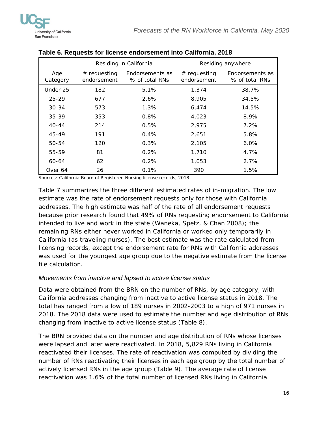

|                 |                               | Residing anywhere                 |                               | Residing in California            |  |  |
|-----------------|-------------------------------|-----------------------------------|-------------------------------|-----------------------------------|--|--|
| Age<br>Category | $#$ requesting<br>endorsement | Endorsements as<br>% of total RNs | $#$ requesting<br>endorsement | Endorsements as<br>% of total RNs |  |  |
| Under 25        | 182                           | 5.1%                              | 1,374                         | 38.7%                             |  |  |
| $25 - 29$       | 677                           | 2.6%                              | 8,905                         | 34.5%                             |  |  |
| $30 - 34$       | 573                           | $1.3\%$                           | 6,474                         | 14.5%                             |  |  |
| $35 - 39$       | 353                           | $0.8\%$                           | 4,023                         | 8.9%                              |  |  |
| $40 - 44$       | 214                           | 0.5%                              | 2,975                         | 7.2%                              |  |  |
| 45-49           | 191                           | 0.4%                              | 2,651                         | 5.8%                              |  |  |
| 50-54           | 120                           | 0.3%                              | 2,105                         | $6.0\%$                           |  |  |
| 55-59           | 81                            | 0.2%                              | 1,710                         | 4.7%                              |  |  |
| 60-64           | 62                            | 0.2%                              | 1,053                         | 2.7%                              |  |  |
| Over 64         | 26                            | 0.1%                              | 390                           | 1.5%                              |  |  |

#### <span id="page-15-1"></span>**Table 6. Requests for license endorsement into California, 2018**

Sources: California Board of Registered Nursing license records, 2018

Table 7 summarizes the three different estimated rates of in-migration. The low estimate was the rate of endorsement requests only for those with California addresses. The high estimate was half of the rate of all endorsement requests because prior research found that 49% of RNs requesting endorsement to California intended to live and work in the state (Waneka, Spetz, & Chan 2008); the remaining RNs either never worked in California or worked only temporarily in California (as traveling nurses). The best estimate was the rate calculated from licensing records, except the endorsement rate for RNs with California addresses was used for the youngest age group due to the negative estimate from the license file calculation.

#### <span id="page-15-0"></span>*Movements from inactive and lapsed to active license status*

Data were obtained from the BRN on the number of RNs, by age category, with California addresses changing from inactive to active license status in 2018. The total has ranged from a low of 189 nurses in 2002-2003 to a high of 971 nurses in 2018. The 2018 data were used to estimate the number and age distribution of RNs changing from inactive to active license status (Table 8).

The BRN provided data on the number and age distribution of RNs whose licenses were lapsed and later were reactivated. In 2018, 5,829 RNs living in California reactivated their licenses. The rate of reactivation was computed by dividing the number of RNs reactivating their licenses in each age group by the total number of actively licensed RNs in the age group (Table 9). The average rate of license reactivation was 1.6% of the total number of licensed RNs living in California.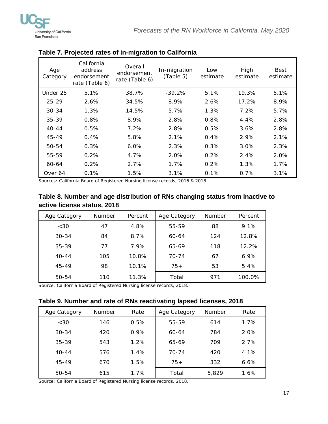

| Age<br>Category | California<br>address<br>endorsement<br>rate (Table 6) | Overall<br>endorsement<br>rate (Table 6) | In-migration<br>(Table 5) | Low<br>estimate | High<br>estimate | Best<br>estimate |
|-----------------|--------------------------------------------------------|------------------------------------------|---------------------------|-----------------|------------------|------------------|
| Under 25        | 5.1%                                                   | 38.7%                                    | $-39.2%$                  | 5.1%            | 19.3%            | 5.1%             |
| $25 - 29$       | 2.6%                                                   | 34.5%                                    | 8.9%                      | 2.6%            | 17.2%            | 8.9%             |
| $30 - 34$       | 1.3%                                                   | 14.5%                                    | 5.7%                      | 1.3%            | 7.2%             | 5.7%             |
| $35 - 39$       | 0.8%                                                   | 8.9%                                     | 2.8%                      | 0.8%            | 4.4%             | 2.8%             |
| $40 - 44$       | 0.5%                                                   | 7.2%                                     | 2.8%                      | 0.5%            | 3.6%             | 2.8%             |
| $45 - 49$       | 0.4%                                                   | 5.8%                                     | 2.1%                      | 0.4%            | 2.9%             | 2.1%             |
| $50 - 54$       | 0.3%                                                   | $6.0\%$                                  | 2.3%                      | 0.3%            | 3.0%             | 2.3%             |
| 55-59           | 0.2%                                                   | 4.7%                                     | 2.0%                      | 0.2%            | 2.4%             | 2.0%             |
| 60-64           | 0.2%                                                   | 2.7%                                     | $1.7\%$                   | 0.2%            | 1.3%             | 1.7%             |
| Over 64         | 0.1%                                                   | 1.5%                                     | 3.1%                      | 0.1%            | 0.7%             | 3.1%             |

#### <span id="page-16-0"></span>**Table 7. Projected rates of in-migration to California**

Sources: California Board of Registered Nursing license records, 2016 & 2018

# <span id="page-16-1"></span>**Table 8. Number and age distribution of RNs changing status from inactive to active license status, 2018**

| Age Category | <b>Number</b> | Percent | Age Category | <b>Number</b> | Percent |
|--------------|---------------|---------|--------------|---------------|---------|
| <30          | 47            | 4.8%    | 55-59        | 88            | 9.1%    |
| $30 - 34$    | 84            | 8.7%    | $60 - 64$    | 124           | 12.8%   |
| $35 - 39$    | 77            | 7.9%    | 65-69        | 118           | 12.2%   |
| $40 - 44$    | 105           | 10.8%   | $70 - 74$    | 67            | $6.9\%$ |
| 45-49        | 98            | 10.1%   | $75+$        | 53            | 5.4%    |
| 50-54        | 110           | 11.3%   | Total        | 971           | 100.0%  |

Source: California Board of Registered Nursing license records, 2018.

#### <span id="page-16-2"></span>**Table 9. Number and rate of RNs reactivating lapsed licenses, 2018**

| Age Category | <b>Number</b> | Rate | Age Category | <b>Number</b> | Rate    |
|--------------|---------------|------|--------------|---------------|---------|
| <30          | 146           | 0.5% | 55-59        | 614           | 1.7%    |
| $30 - 34$    | 420           | 0.9% | 60-64        | 784           | 2.0%    |
| $35 - 39$    | 543           | 1.2% | 65-69        | 709           | 2.7%    |
| $40 - 44$    | 576           | 1.4% | 70-74        | 420           | 4.1%    |
| 45-49        | 670           | 1.5% | $75+$        | 332           | $6.6\%$ |
| 50-54        | 615           | 1.7% | Total        | 5,829         | 1.6%    |

Source: California Board of Registered Nursing license records, 2018.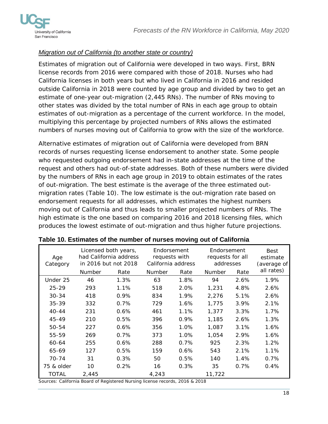

#### <span id="page-17-0"></span>*Migration out of California (to another state or country)*

Estimates of migration out of California were developed in two ways. First, BRN license records from 2016 were compared with those of 2018. Nurses who had California licenses in both years but who lived in California in 2016 and resided outside California in 2018 were counted by age group and divided by two to get an estimate of one-year out-migration (2,445 RNs). The number of RNs moving to other states was divided by the total number of RNs in each age group to obtain estimates of out-migration as a percentage of the current workforce. In the model, multiplying this percentage by projected numbers of RNs allows the estimated numbers of nurses moving out of California to grow with the size of the workforce.

Alternative estimates of migration out of California were developed from BRN records of nurses requesting license endorsement to another state. Some people who requested outgoing endorsement had in-state addresses at the time of the request and others had out-of-state addresses. Both of these numbers were divided by the numbers of RNs in each age group in 2019 to obtain estimates of the rates of out-migration. The best estimate is the average of the three estimated outmigration rates (Table 10). The low estimate is the out-migration rate based on endorsement requests for all addresses, which estimates the highest numbers moving out of California and thus leads to smaller projected numbers of RNs. The high estimate is the one based on comparing 2016 and 2018 licensing files, which produces the lowest estimate of out-migration and thus higher future projections.

| Age<br>Category |        | Licensed both years,<br>had California address<br>in 2016 but not 2018 | Endorsement<br>requests with<br>California address |      | Endorsement<br>requests for all<br>addresses |      | Best<br>estimate<br>(average of |
|-----------------|--------|------------------------------------------------------------------------|----------------------------------------------------|------|----------------------------------------------|------|---------------------------------|
|                 | Number | Rate                                                                   | <b>Number</b>                                      | Rate | Number                                       | Rate | all rates)                      |
| Under 25        | 46     | 1.3%                                                                   | 63                                                 | 1.8% | 94                                           | 2.6% | 1.9%                            |
| $25 - 29$       | 293    | 1.1%                                                                   | 518                                                | 2.0% | 1,231                                        | 4.8% | 2.6%                            |
| $30 - 34$       | 418    | 0.9%                                                                   | 834                                                | 1.9% | 2,276                                        | 5.1% | 2.6%                            |
| $35 - 39$       | 332    | 0.7%                                                                   | 729                                                | 1.6% | 1,775                                        | 3.9% | 2.1%                            |
| $40 - 44$       | 231    | 0.6%                                                                   | 461                                                | 1.1% | 1,377                                        | 3.3% | 1.7%                            |
| 45-49           | 210    | 0.5%                                                                   | 396                                                | 0.9% | 1,185                                        | 2.6% | 1.3%                            |
| 50-54           | 227    | 0.6%                                                                   | 356                                                | 1.0% | 1,087                                        | 3.1% | 1.6%                            |
| 55-59           | 269    | 0.7%                                                                   | 373                                                | 1.0% | 1,054                                        | 2.9% | 1.6%                            |
| 60-64           | 255    | 0.6%                                                                   | 288                                                | 0.7% | 925                                          | 2.3% | 1.2%                            |
| 65-69           | 127    | 0.5%                                                                   | 159                                                | 0.6% | 543                                          | 2.1% | 1.1%                            |
| 70-74           | 31     | 0.3%                                                                   | 50                                                 | 0.5% | 140                                          | 1.4% | 0.7%                            |
| 75 & older      | 10     | 0.2%                                                                   | 16                                                 | 0.3% | 35                                           | 0.7% | 0.4%                            |
| <b>TOTAL</b>    | 2,445  |                                                                        | 4,243                                              |      | 11,722                                       |      |                                 |

### <span id="page-17-1"></span>**Table 10. Estimates of the number of nurses moving out of California**

Sources: California Board of Registered Nursing license records, 2016 & 2018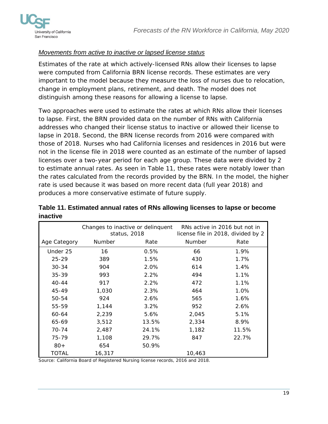

#### <span id="page-18-0"></span>*Movements from active to inactive or lapsed license status*

Estimates of the rate at which actively-licensed RNs allow their licenses to lapse were computed from California BRN license records. These estimates are very important to the model because they measure the loss of nurses due to relocation, change in employment plans, retirement, and death. The model does not distinguish among these reasons for allowing a license to lapse.

Two approaches were used to estimate the rates at which RNs allow their licenses to lapse. First, the BRN provided data on the number of RNs with California addresses who changed their license status to inactive or allowed their license to lapse in 2018. Second, the BRN license records from 2016 were compared with those of 2018. Nurses who had California licenses and residences in 2016 but were not in the license file in 2018 were counted as an estimate of the number of lapsed licenses over a two-year period for each age group. These data were divided by 2 to estimate annual rates. As seen in Table 11, these rates were notably lower than the rates calculated from the records provided by the BRN. In the model, the higher rate is used because it was based on more recent data (full year 2018) and produces a more conservative estimate of future supply.

|              | Changes to inactive or delinquent<br>status, 2018 |       | RNs active in 2016 but not in<br>license file in 2018, divided by 2 |       |
|--------------|---------------------------------------------------|-------|---------------------------------------------------------------------|-------|
| Age Category | Number                                            | Rate  | Number                                                              | Rate  |
| Under 25     | 16                                                | 0.5%  | 66                                                                  | 1.9%  |
| $25 - 29$    | 389                                               | 1.5%  | 430                                                                 | 1.7%  |
| $30 - 34$    | 904                                               | 2.0%  | 614                                                                 | 1.4%  |
| $35 - 39$    | 993                                               | 2.2%  | 494                                                                 | 1.1%  |
| $40 - 44$    | 917                                               | 2.2%  | 472                                                                 | 1.1%  |
| 45-49        | 1,030                                             | 2.3%  | 464                                                                 | 1.0%  |
| $50 - 54$    | 924                                               | 2.6%  | 565                                                                 | 1.6%  |
| 55-59        | 1,144                                             | 3.2%  | 952                                                                 | 2.6%  |
| 60-64        | 2,239                                             | 5.6%  | 2,045                                                               | 5.1%  |
| 65-69        | 3,512                                             | 13.5% | 2,334                                                               | 8.9%  |
| 70-74        | 2,487                                             | 24.1% | 1,182                                                               | 11.5% |
| 75-79        | 1,108                                             | 29.7% | 847                                                                 | 22.7% |
| $80+$        | 654                                               | 50.9% |                                                                     |       |
| TOTAL        | 16,317                                            |       | 10,463                                                              |       |

<span id="page-18-1"></span>

|          | Table 11. Estimated annual rates of RNs allowing licenses to lapse or become |
|----------|------------------------------------------------------------------------------|
| inactive |                                                                              |

Source: California Board of Registered Nursing license records, 2016 and 2018.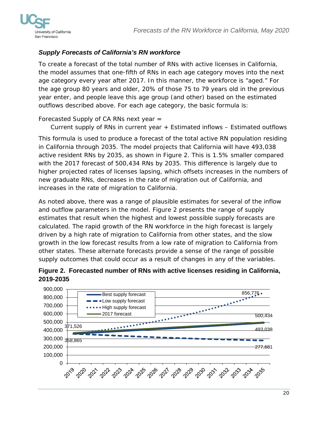

# <span id="page-19-0"></span>*Supply Forecasts of California's RN workforce*

To create a forecast of the total number of RNs with active licenses in California, the model assumes that one-fifth of RNs in each age category moves into the next age category every year after 2017. In this manner, the workforce is "aged." For the age group 80 years and older, 20% of those 75 to 79 years old in the previous year enter, and people leave this age group (and other) based on the estimated outflows described above. For each age category, the basic formula is:

Forecasted Supply of CA RNs next year =

Current supply of RNs in current year + Estimated inflows – Estimated outflows

This formula is used to produce a forecast of the total active RN population residing in California through 2035. The model projects that California will have 493,038 active resident RNs by 2035, as shown in Figure 2. This is 1.5% smaller compared with the 2017 forecast of 500,434 RNs by 2035. This difference is largely due to higher projected rates of licenses lapsing, which offsets increases in the numbers of new graduate RNs, decreases in the rate of migration out of California, and increases in the rate of migration to California.

As noted above, there was a range of plausible estimates for several of the inflow and outflow parameters in the model. Figure 2 presents the range of supply estimates that result when the highest and lowest possible supply forecasts are calculated. The rapid growth of the RN workforce in the high forecast is largely driven by a high rate of migration to California from other states, and the slow growth in the low forecast results from a low rate of migration to California from other states. These alternate forecasts provide a sense of the range of possible supply outcomes that could occur as a result of changes in any of the variables.

<span id="page-19-1"></span>

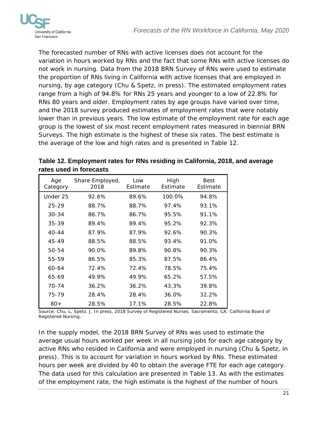

The forecasted number of RNs with active licenses does not account for the variation in hours worked by RNs and the fact that some RNs with active licenses do not work in nursing. Data from the 2018 BRN Survey of RNs were used to estimate the proportion of RNs living in California with active licenses that are employed in nursing, by age category (Chu & Spetz, in press). The estimated employment rates range from a high of 94.8% for RNs 25 years and younger to a low of 22.8% for RNs 80 years and older. Employment rates by age groups have varied over time, and the 2018 survey produced estimates of employment rates that were notably lower than in previous years. The low estimate of the employment rate for each age group is the lowest of six most recent employment rates measured in biennial BRN Surveys. The high estimate is the highest of these six rates. The best estimate is the average of the low and high rates and is presented in Table 12.

<span id="page-20-0"></span>**Table 12. Employment rates for RNs residing in California, 2018, and average rates used in forecasts**

| Age<br>Category | Share Employed,<br>2018 | Low<br>Estimate | High<br>Estimate | <b>Best</b><br>Estimate |
|-----------------|-------------------------|-----------------|------------------|-------------------------|
| Under 25        | 92.6%                   | 89.6%           | 100.0%           | 94.8%                   |
| $25 - 29$       | 88.7%                   | 88.7%           | 97.4%            | 93.1%                   |
| $30 - 34$       | 86.7%                   | 86.7%           | 95.5%            | 91.1%                   |
| $35 - 39$       | 89.4%                   | 89.4%           | 95.2%            | 92.3%                   |
| $40 - 44$       | 87.9%                   | 87.9%           | 92.6%            | 90.3%                   |
| $45 - 49$       | 88.5%                   | 88.5%           | 93.4%            | 91.0%                   |
| $50 - 54$       | 90.0%                   | 89.8%           | 90.8%            | 90.3%                   |
| 55-59           | 86.5%                   | 85.3%           | 87.5%            | 86.4%                   |
| $60 - 64$       | 72.4%                   | 72.4%           | 78.5%            | 75.4%                   |
| 65-69           | 49.9%                   | 49.9%           | 65.2%            | 57.5%                   |
| 70-74           | 36.2%                   | 36.2%           | 43.3%            | 39.8%                   |
| 75-79           | 28.4%                   | 28.4%           | 36.0%            | 32.2%                   |
| $80+$           | 28.5%                   | 17.1%           | 28.5%            | 22.8%                   |

Source: Chu, L, Spetz, J. In press. 2018 Survey of Registered Nurses. Sacramento, CA: California Board of Registered Nursing.

In the supply model, the 2018 BRN Survey of RNs was used to estimate the average usual hours worked per week in all nursing jobs for each age category by active RNs who resided in California and were employed in nursing (Chu & Spetz, in press). This is to account for variation in hours worked by RNs. These estimated hours per week are divided by 40 to obtain the average FTE for each age category. The data used for this calculation are presented in Table 13. As with the estimates of the employment rate, the high estimate is the highest of the number of hours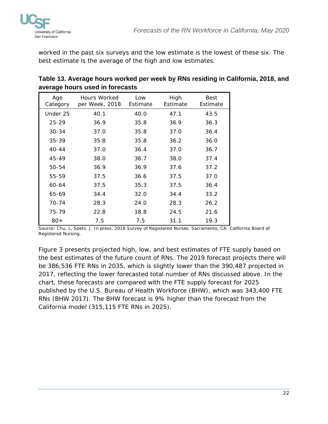

worked in the past six surveys and the low estimate is the lowest of these six. The best estimate is the average of the high and low estimates.

| Ð               |                                |                 |                  |                         |
|-----------------|--------------------------------|-----------------|------------------|-------------------------|
| Age<br>Category | Hours Worked<br>per Week, 2018 | Low<br>Estimate | High<br>Estimate | <b>Best</b><br>Estimate |
| Under 25        | 40.1                           | 40.0            | 47.1             | 43.5                    |
| $25 - 29$       | 36.9                           | 35.8            | 36.9             | 36.3                    |
| $30 - 34$       | 37.0                           | 35.8            | 37.0             | 36.4                    |
| $35 - 39$       | 35.8                           | 35.8            | 36.2             | 36.0                    |
| $40 - 44$       | 37.0                           | 36.4            | 37.0             | 36.7                    |
| 45-49           | 38.0                           | 36.7            | 38.0             | 37.4                    |
| 50-54           | 36.9                           | 36.9            | 37.6             | 37.2                    |
| 55-59           | 37.5                           | 36.6            | 37.5             | 37.0                    |
| $60 - 64$       | 37.5                           | 35.3            | 37.5             | 36.4                    |
| 65-69           | 34.4                           | 32.0            | 34.4             | 33.2                    |
| 70-74           | 28.3                           | 24.0            | 28.3             | 26.2                    |
| 75-79           | 22.8                           | 18.8            | 24.5             | 21.6                    |
| $80+$           | 7.5                            | 7.5             | 31.1             | 19.3                    |

<span id="page-21-0"></span>

| Table 13. Average hours worked per week by RNs residing in California, 2018, and |  |
|----------------------------------------------------------------------------------|--|
| average hours used in forecasts                                                  |  |

Source: Chu, L, Spetz, J. In press. 2018 Survey of Registered Nurses. Sacramento, CA: California Board of Registered Nursing.

Figure 3 presents projected high, low, and best estimates of FTE supply based on the best estimates of the future count of RNs. The 2019 forecast projects there will be 386,536 FTE RNs in 2035, which is slightly lower than the 390,487 projected in 2017, reflecting the lower forecasted total number of RNs discussed above. In the chart, these forecasts are compared with the FTE supply forecast for 2025 published by the U.S. Bureau of Health Workforce (BHW), which was 343,400 FTE RNs (BHW 2017). The BHW forecast is 9% higher than the forecast from the California model (315,115 FTE RNs in 2025).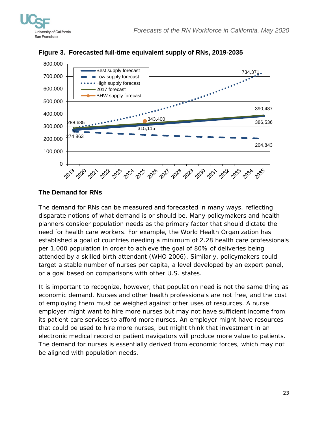



<span id="page-22-1"></span>

### <span id="page-22-0"></span>**The Demand for RNs**

The demand for RNs can be measured and forecasted in many ways, reflecting disparate notions of what demand is or should be. Many policymakers and health planners consider population needs as the primary factor that should dictate the need for health care workers. For example, the World Health Organization has established a goal of countries needing a minimum of 2.28 health care professionals per 1,000 population in order to achieve the goal of 80% of deliveries being attended by a skilled birth attendant (WHO 2006). Similarly, policymakers could target a stable number of nurses per capita, a level developed by an expert panel, or a goal based on comparisons with other U.S. states.

It is important to recognize, however, that population need is not the same thing as economic demand. Nurses and other health professionals are not free, and the cost of employing them must be weighed against other uses of resources. A nurse employer might want to hire more nurses but may not have sufficient income from its patient care services to afford more nurses. An employer might have resources that could be used to hire more nurses, but might think that investment in an electronic medical record or patient navigators will produce more value to patients. The demand for nurses is essentially derived from economic forces, which may not be aligned with population needs.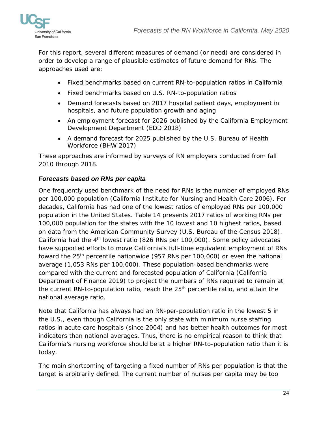

For this report, several different measures of demand (or need) are considered in order to develop a range of plausible estimates of future demand for RNs. The approaches used are:

- Fixed benchmarks based on current RN-to-population ratios in California
- Fixed benchmarks based on U.S. RN-to-population ratios
- Demand forecasts based on 2017 hospital patient days, employment in hospitals, and future population growth and aging
- An employment forecast for 2026 published by the California Employment Development Department (EDD 2018)
- A demand forecast for 2025 published by the U.S. Bureau of Health Workforce (BHW 2017)

These approaches are informed by surveys of RN employers conducted from fall 2010 through 2018.

# <span id="page-23-0"></span>*Forecasts based on RNs per capita*

One frequently used benchmark of the need for RNs is the number of employed RNs per 100,000 population (California Institute for Nursing and Health Care 2006). For decades, California has had one of the lowest ratios of employed RNs per 100,000 population in the United States. Table 14 presents 2017 ratios of working RNs per 100,000 population for the states with the 10 lowest and 10 highest ratios, based on data from the American Community Survey (U.S. Bureau of the Census 2018). California had the  $4<sup>th</sup>$  lowest ratio (826 RNs per 100,000). Some policy advocates have supported efforts to move California's full-time equivalent employment of RNs toward the  $25<sup>th</sup>$  percentile nationwide (957 RNs per 100,000) or even the national average (1,053 RNs per 100,000). These population-based benchmarks were compared with the current and forecasted population of California (California Department of Finance 2019) to project the numbers of RNs required to remain at the current RN-to-population ratio, reach the  $25<sup>th</sup>$  percentile ratio, and attain the national average ratio.

Note that California has always had an RN-per-population ratio in the lowest 5 in the U.S., even though California is the only state with minimum nurse staffing ratios in acute care hospitals (since 2004) and has better health outcomes for most indicators than national averages. Thus, there is no empirical reason to think that California's nursing workforce should be at a higher RN-to-population ratio than it is today.

The main shortcoming of targeting a fixed number of RNs per population is that the target is arbitrarily defined. The current number of nurses per capita may be too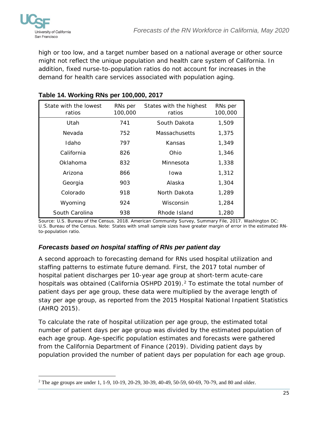

high or too low, and a target number based on a national average or other source might not reflect the unique population and health care system of California. In addition, fixed nurse-to-population ratios do not account for increases in the demand for health care services associated with population aging.

| State with the lowest<br>ratios | RNs per<br>100,000 | States with the highest<br>ratios | RNs per<br>100,000 |
|---------------------------------|--------------------|-----------------------------------|--------------------|
| Utah                            | 741                | South Dakota                      | 1,509              |
| Nevada                          | 752                | <b>Massachusetts</b>              | 1,375              |
| Idaho                           | 797                | Kansas                            | 1,349              |
| California                      | 826                | Ohio                              | 1,346              |
| Oklahoma                        | 832                | Minnesota                         | 1,338              |
| Arizona                         | 866                | Iowa                              | 1,312              |
| Georgia                         | 903                | Alaska                            | 1,304              |
| Colorado                        | 918                | North Dakota                      | 1,289              |
| Wyoming                         | 924                | Wisconsin                         | 1,284              |
| South Carolina                  | 938                | Rhode Island                      | 1,280              |

# <span id="page-24-1"></span>**Table 14. Working RNs per 100,000, 2017**

Source: U.S. Bureau of the Census. 2018. American Community Survey, Summary File, 2017. Washington DC: U.S. Bureau of the Census. Note: States with small sample sizes have greater margin of error in the estimated RNto-population ratio.

# <span id="page-24-0"></span>*Forecasts based on hospital staffing of RNs per patient day*

A second approach to forecasting demand for RNs used hospital utilization and staffing patterns to estimate future demand. First, the 2017 total number of hospital patient discharges per 10-year age group at short-term acute-care hospitals was obtained (California OSHPD [2](#page-24-2)019).<sup>2</sup> To estimate the total number of patient days per age group, these data were multiplied by the average length of stay per age group, as reported from the 2015 Hospital National Inpatient Statistics (AHRQ 2015).

To calculate the rate of hospital utilization per age group, the estimated total number of patient days per age group was divided by the estimated population of each age group. Age-specific population estimates and forecasts were gathered from the California Department of Finance (2019). Dividing patient days by population provided the number of patient days per population for each age group.

<span id="page-24-2"></span><sup>1</sup> <sup>2</sup> The age groups are under 1, 1-9, 10-19, 20-29, 30-39, 40-49, 50-59, 60-69, 70-79, and 80 and older.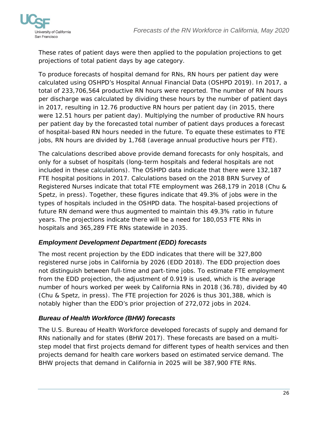

These rates of patient days were then applied to the population projections to get projections of total patient days by age category.

To produce forecasts of hospital demand for RNs, RN hours per patient day were calculated using OSHPD's Hospital Annual Financial Data (OSHPD 2019). In 2017, a total of 233,706,564 productive RN hours were reported. The number of RN hours per discharge was calculated by dividing these hours by the number of patient days in 2017, resulting in 12.76 productive RN hours per patient day (in 2015, there were 12.51 hours per patient day). Multiplying the number of productive RN hours per patient day by the forecasted total number of patient days produces a forecast of hospital-based RN hours needed in the future. To equate these estimates to FTE jobs, RN hours are divided by 1,768 (average annual productive hours per FTE).

The calculations described above provide demand forecasts for only hospitals, and only for a subset of hospitals (long-term hospitals and federal hospitals are not included in these calculations). The OSHPD data indicate that there were 132,187 FTE hospital positions in 2017. Calculations based on the 2018 BRN Survey of Registered Nurses indicate that total FTE employment was 268,179 in 2018 (Chu & Spetz, in press). Together, these figures indicate that 49.3% of jobs were in the types of hospitals included in the OSHPD data. The hospital-based projections of future RN demand were thus augmented to maintain this 49.3% ratio in future years. The projections indicate there will be a need for 180,053 FTE RNs in hospitals and 365,289 FTE RNs statewide in 2035.

# <span id="page-25-0"></span>*Employment Development Department (EDD) forecasts*

The most recent projection by the EDD indicates that there will be 327,800 registered nurse jobs in California by 2026 (EDD 2018). The EDD projection does not distinguish between full-time and part-time jobs. To estimate FTE employment from the EDD projection, the adjustment of 0.919 is used, which is the average number of hours worked per week by California RNs in 2018 (36.78), divided by 40 (Chu & Spetz, in press). The FTE projection for 2026 is thus 301,388, which is notably higher than the EDD's prior projection of 272,072 jobs in 2024.

# <span id="page-25-1"></span>*Bureau of Health Workforce (BHW) forecasts*

The U.S. Bureau of Health Workforce developed forecasts of supply and demand for RNs nationally and for states (BHW 2017). These forecasts are based on a multistep model that first projects demand for different types of health services and then projects demand for health care workers based on estimated service demand. The BHW projects that demand in California in 2025 will be 387,900 FTE RNs.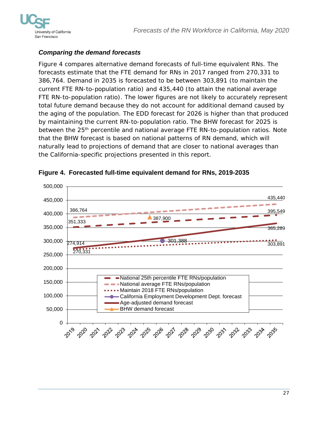

## <span id="page-26-0"></span>*Comparing the demand forecasts*

Figure 4 compares alternative demand forecasts of full-time equivalent RNs. The forecasts estimate that the FTE demand for RNs in 2017 ranged from 270,331 to 386,764. Demand in 2035 is forecasted to be between 303,891 (to maintain the current FTE RN-to-population ratio) and 435,440 (to attain the national average FTE RN-to-population ratio). The lower figures are not likely to accurately represent total future demand because they do not account for additional demand caused by the aging of the population. The EDD forecast for 2026 is higher than that produced by maintaining the current RN-to-population ratio. The BHW forecast for 2025 is between the 25<sup>th</sup> percentile and national average FTE RN-to-population ratios. Note that the BHW forecast is based on national patterns of RN demand, which will naturally lead to projections of demand that are closer to national averages than the California-specific projections presented in this report.



<span id="page-26-1"></span>**Figure 4. Forecasted full-time equivalent demand for RNs, 2019-2035**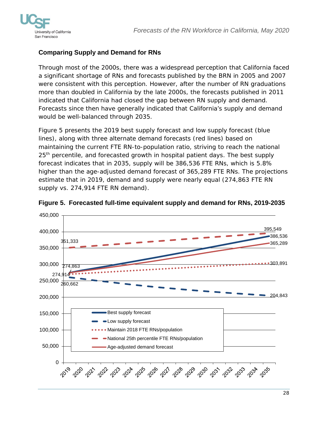

## <span id="page-27-0"></span>**Comparing Supply and Demand for RNs**

Through most of the 2000s, there was a widespread perception that California faced a significant shortage of RNs and forecasts published by the BRN in 2005 and 2007 were consistent with this perception. However, after the number of RN graduations more than doubled in California by the late 2000s, the forecasts published in 2011 indicated that California had closed the gap between RN supply and demand. Forecasts since then have generally indicated that California's supply and demand would be well-balanced through 2035.

Figure 5 presents the 2019 best supply forecast and low supply forecast (blue lines), along with three alternate demand forecasts (red lines) based on maintaining the current FTE RN-to-population ratio, striving to reach the national 25<sup>th</sup> percentile, and forecasted growth in hospital patient days. The best supply forecast indicates that in 2035, supply will be 386,536 FTE RNs, which is 5.8% higher than the age-adjusted demand forecast of 365,289 FTE RNs. The projections estimate that in 2019, demand and supply were nearly equal (274,863 FTE RN supply vs. 274,914 FTE RN demand).



<span id="page-27-1"></span>**Figure 5. Forecasted full-time equivalent supply and demand for RNs, 2019-2035**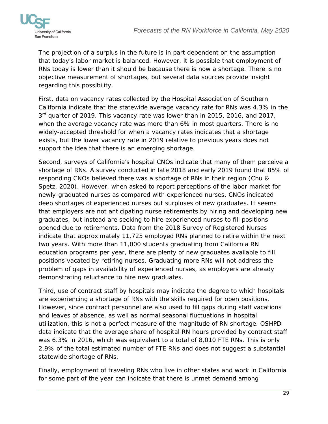

The projection of a surplus in the future is in part dependent on the assumption that today's labor market is balanced. However, it is possible that employment of RNs today is lower than it should be because there is now a shortage. There is no objective measurement of shortages, but several data sources provide insight regarding this possibility.

First, data on vacancy rates collected by the Hospital Association of Southern California indicate that the statewide average vacancy rate for RNs was 4.3% in the  $3<sup>rd</sup>$  quarter of 2019. This vacancy rate was lower than in 2015, 2016, and 2017, when the average vacancy rate was more than 6% in most quarters. There is no widely-accepted threshold for when a vacancy rates indicates that a shortage exists, but the lower vacancy rate in 2019 relative to previous years does not support the idea that there is an emerging shortage.

Second, surveys of California's hospital CNOs indicate that many of them perceive a shortage of RNs. A survey conducted in late 2018 and early 2019 found that 85% of responding CNOs believed there was a shortage of RNs in their region (Chu & Spetz, 2020). However, when asked to report perceptions of the labor market for newly-graduated nurses as compared with experienced nurses, CNOs indicated deep shortages of experienced nurses but surpluses of new graduates. It seems that employers are not anticipating nurse retirements by hiring and developing new graduates, but instead are seeking to hire experienced nurses to fill positions opened due to retirements. Data from the 2018 Survey of Registered Nurses indicate that approximately 11,725 employed RNs planned to retire within the next two years. With more than 11,000 students graduating from California RN education programs per year, there are plenty of new graduates available to fill positions vacated by retiring nurses. Graduating more RNs will not address the problem of gaps in availability of experienced nurses, as employers are already demonstrating reluctance to hire new graduates.

Third, use of contract staff by hospitals may indicate the degree to which hospitals are experiencing a shortage of RNs with the skills required for open positions. However, since contract personnel are also used to fill gaps during staff vacations and leaves of absence, as well as normal seasonal fluctuations in hospital utilization, this is not a perfect measure of the magnitude of RN shortage. OSHPD data indicate that the average share of hospital RN hours provided by contract staff was 6.3% in 2016, which was equivalent to a total of 8,010 FTE RNs. This is only 2.9% of the total estimated number of FTE RNs and does not suggest a substantial statewide shortage of RNs.

Finally, employment of traveling RNs who live in other states and work in California for some part of the year can indicate that there is unmet demand among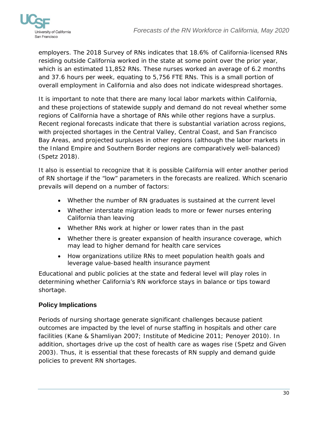

employers. The 2018 Survey of RNs indicates that 18.6% of California-licensed RNs residing outside California worked in the state at some point over the prior year, which is an estimated 11,852 RNs. These nurses worked an average of 6.2 months and 37.6 hours per week, equating to 5,756 FTE RNs. This is a small portion of overall employment in California and also does not indicate widespread shortages.

It is important to note that there are many local labor markets within California, and these projections of statewide supply and demand do not reveal whether some regions of California have a shortage of RNs while other regions have a surplus. Recent regional forecasts indicate that there is substantial variation across regions, with projected shortages in the Central Valley, Central Coast, and San Francisco Bay Areas, and projected surpluses in other regions (although the labor markets in the Inland Empire and Southern Border regions are comparatively well-balanced) (Spetz 2018).

It also is essential to recognize that it is possible California will enter another period of RN shortage if the "low" parameters in the forecasts are realized. Which scenario prevails will depend on a number of factors:

- Whether the number of RN graduates is sustained at the current level
- Whether interstate migration leads to more or fewer nurses entering California than leaving
- Whether RNs work at higher or lower rates than in the past
- Whether there is greater expansion of health insurance coverage, which may lead to higher demand for health care services
- How organizations utilize RNs to meet population health goals and leverage value-based health insurance payment

Educational and public policies at the state and federal level will play roles in determining whether California's RN workforce stays in balance or tips toward shortage.

# <span id="page-29-0"></span>**Policy Implications**

Periods of nursing shortage generate significant challenges because patient outcomes are impacted by the level of nurse staffing in hospitals and other care facilities (Kane & Shamliyan 2007; Institute of Medicine 2011; Penoyer 2010). In addition, shortages drive up the cost of health care as wages rise (Spetz and Given 2003). Thus, it is essential that these forecasts of RN supply and demand guide policies to prevent RN shortages.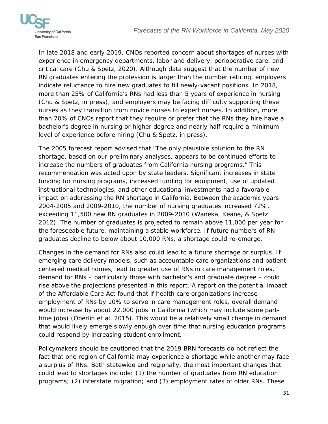

In late 2018 and early 2019, CNOs reported concern about shortages of nurses with experience in emergency departments, labor and delivery, perioperative care, and critical care (Chu & Spetz, 2020). Although data suggest that the number of new RN graduates entering the profession is larger than the number retiring, employers indicate reluctance to hire new graduates to fill newly-vacant positions. In 2018, more than 25% of California's RNs had less than 5 years of experience in nursing (Chu & Spetz, in press), and employers may be facing difficulty supporting these nurses as they transition from novice nurses to expert nurses. In addition, more than 70% of CNOs report that they require or prefer that the RNs they hire have a bachelor's degree in nursing or higher degree and nearly half require a minimum level of experience before hiring (Chu & Spetz, in press).

The 2005 forecast report advised that "The only plausible solution to the RN shortage, based on our preliminary analyses, appears to be continued efforts to increase the numbers of graduates from California nursing programs." This recommendation was acted upon by state leaders. Significant increases in state funding for nursing programs, increased funding for equipment, use of updated instructional technologies, and other educational investments had a favorable impact on addressing the RN shortage in California. Between the academic years 2004-2005 and 2009-2010, the number of nursing graduates increased 72%, exceeding 11,500 new RN graduates in 2009-2010 (Waneka, Keane, & Spetz 2012). The number of graduates is projected to remain above 11,000 per year for the foreseeable future, maintaining a stable workforce. If future numbers of RN graduates decline to below about 10,000 RNs, a shortage could re-emerge.

Changes in the demand for RNs also could lead to a future shortage or surplus. If emerging care delivery models, such as accountable care organizations and patientcentered medical homes, lead to greater use of RNs in care management roles, demand for RNs – particularly those with bachelor's and graduate degree – could rise above the projections presented in this report. A report on the potential impact of the Affordable Care Act found that if health care organizations increase employment of RNs by 10% to serve in care management roles, overall demand would increase by about 22,000 jobs in California (which may include some parttime jobs) (Oberlin et al. 2015). This would be a relatively small change in demand that would likely emerge slowly enough over time that nursing education programs could respond by increasing student enrollment.

Policymakers should be cautioned that the 2019 BRN forecasts do not reflect the fact that one region of California may experience a shortage while another may face a surplus of RNs. Both statewide and regionally, the most important changes that could lead to shortages include: (1) the number of graduates from RN education programs; (2) interstate migration; and (3) employment rates of older RNs. These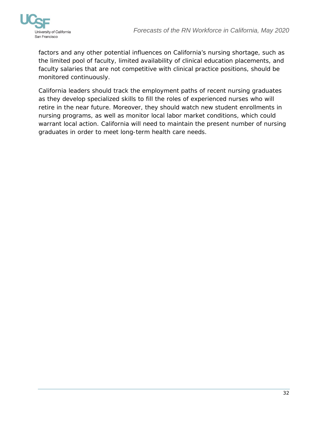

factors and any other potential influences on California's nursing shortage, such as the limited pool of faculty, limited availability of clinical education placements, and faculty salaries that are not competitive with clinical practice positions, should be monitored continuously.

California leaders should track the employment paths of recent nursing graduates as they develop specialized skills to fill the roles of experienced nurses who will retire in the near future. Moreover, they should watch new student enrollments in nursing programs, as well as monitor local labor market conditions, which could warrant local action. California will need to maintain the present number of nursing graduates in order to meet long-term health care needs.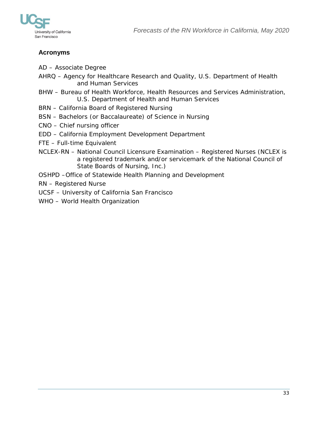



## <span id="page-32-0"></span>**Acronyms**

- AD Associate Degree
- AHRQ Agency for Healthcare Research and Quality, U.S. Department of Health and Human Services
- BHW Bureau of Health Workforce, Health Resources and Services Administration, U.S. Department of Health and Human Services
- BRN California Board of Registered Nursing
- BSN Bachelors (or Baccalaureate) of Science in Nursing
- CNO Chief nursing officer
- EDD California Employment Development Department
- FTE Full-time Equivalent
- NCLEX-RN National Council Licensure Examination Registered Nurses (NCLEX is a registered trademark and/or servicemark of the National Council of State Boards of Nursing, Inc.)
- OSHPD –Office of Statewide Health Planning and Development
- RN Registered Nurse
- UCSF University of California San Francisco
- WHO World Health Organization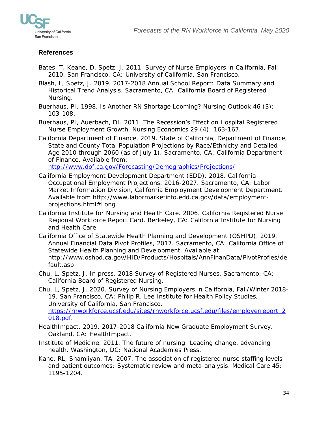

# <span id="page-33-0"></span>**References**

- Bates, T, Keane, D, Spetz, J. 2011. Survey of Nurse Employers in California, Fall 2010. San Francisco, CA: University of California, San Francisco.
- Blash, L, Spetz, J. 2019. 2017-2018 Annual School Report: Data Summary and Historical Trend Analysis. Sacramento, CA: California Board of Registered Nursing.
- Buerhaus, PI. 1998. Is Another RN Shortage Looming? Nursing Outlook 46 (3): 103-108.

Buerhaus, PI, Auerbach, DI. 2011. The Recession's Effect on Hospital Registered Nurse Employment Growth. Nursing Economics 29 (4): 163-167.

California Department of Finance. 2019. State of California, Department of Finance, State and County Total Population Projections by Race/Ethnicity and Detailed Age 2010 through 2060 (as of July 1). Sacramento, CA: California Department of Finance. Available from:

<http://www.dof.ca.gov/Forecasting/Demographics/Projections/>

- California Employment Development Department (EDD). 2018. California Occupational Employment Projections, 2016-2027. Sacramento, CA: Labor Market Information Division, California Employment Development Department. Available from http://www.labormarketinfo.edd.ca.gov/data/employmentprojections.html#Long
- California Institute for Nursing and Health Care. 2006. California Registered Nurse Regional Workforce Report Card. Berkeley, CA: California Institute for Nursing and Health Care.
- California Office of Statewide Health Planning and Development (OSHPD). 2019. Annual Financial Data Pivot Profiles, 2017. Sacramento, CA: California Office of Statewide Health Planning and Development. Available at http://www.oshpd.ca.gov/HID/Products/Hospitals/AnnFinanData/PivotProfles/de fault.asp
- Chu, L, Spetz, J. In press. 2018 Survey of Registered Nurses. Sacramento, CA: California Board of Registered Nursing.
- Chu, L, Spetz, J. 2020. Survey of Nursing Employers in California, Fall/Winter 2018- 19. San Francisco, CA: Philip R. Lee Institute for Health Policy Studies, University of California, San Francisco. [https://rnworkforce.ucsf.edu/sites/rnworkforce.ucsf.edu/files/employerreport\\_2](https://rnworkforce.ucsf.edu/sites/rnworkforce.ucsf.edu/files/employerreport_2018.pdf) [018.pdf.](https://rnworkforce.ucsf.edu/sites/rnworkforce.ucsf.edu/files/employerreport_2018.pdf)
- HealthImpact. 2019. 2017-2018 California New Graduate Employment Survey. Oakland, CA: HealthImpact.
- Institute of Medicine. 2011. The future of nursing: Leading change, advancing health. Washington, DC: National Academies Press.
- Kane, RL, Shamliyan, TA. 2007. The association of registered nurse staffing levels and patient outcomes: Systematic review and meta-analysis. Medical Care 45: 1195-1204.